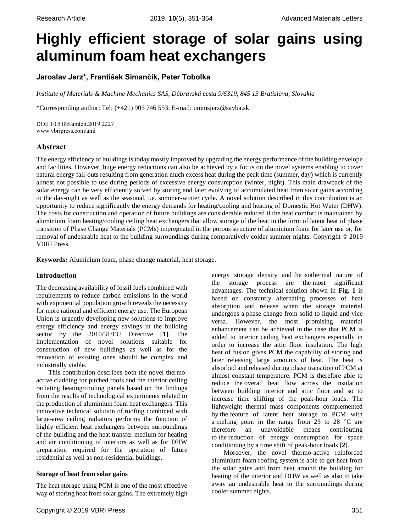# **Highly efficient storage of solar gains using aluminum foam heat exchangers**

# **Jaroslav Jerz\*, František Simančík, Peter Tobolka**

*Institute of Materials & Machine Mechanics SAS, Dúbravská cesta 9/6319, 845 13 Bratislava, Slovakia*

\*Corresponding author: Tel: (+421) 905 746 553; E-mail: ummsjerz@savba.sk

DOI: 10.5185/amlett.2019.2227 www.vbripress.com/aml

## **Abstract**

The energy efficiency of buildings is today mostly improved by upgrading the energy performance of the building envelope and facilities. However, huge energy reductions can also be achieved by a focus on the novel systems enabling to cover natural energy fall-outs resulting from generation much excess heat during the peak time (summer, day) which is currently almost not possible to use during periods of excessive energy consumption (winter, night). This main drawback of the solar energy can be very efficiently solved by storing and later evolving of accumulated heat from solar gains according to the day-night as well as the seasonal, i.e. summer-winter cycle. A novel solution described in this contribution is an opportunity to reduce significantly the energy demands for heating/cooling and heating of Domestic Hot Water (DHW). The costs for construction and operation of future buildings are considerable reduced if the heat comfort is maintained by aluminium foam heating/cooling ceiling heat exchangers that allow storage of the heat in the form of latent heat of phase transition of Phase Change Materials (PCMs) impregnated in the porous structure of aluminium foam for later use or, for removal of undesirable heat to the building surroundings during comparatively colder summer nights. Copyright © 2019 VBRI Press.

**Keywords:** Aluminium foam, phase change material, heat storage.

## **Introduction**

The decreasing availability of fossil fuels combined with requirements to reduce carbon emissions in the world with exponential population growth reveals the necessity for more rational and efficient energy use. The European Union is urgently developing new solutions to improve energy efficiency and energy savings in the building sector by the 2010/31/EU Directive [**1**]. The implementation of novel solutions suitable for construction of new buildings as well as for the renovation of existing ones should be complex and industrially viable.

This contribution describes both the novel thermoactive cladding for pitched roofs and the interior ceiling radiating heating/cooling panels based on the findings from the results of technological experiments related to the production of aluminium foam heat exchangers. This innovative technical solution of roofing combined with large-area ceiling radiators performs the function of highly efficient heat exchangers between surroundings of the building and the heat transfer medium for heating and air conditioning of interiors as well as for DHW preparation required for the operation of future residential as well as non-residential buildings.

## **Storage of heat from solar gains**

The heat storage using PCM is one of the most effective way of storing heat from solar gains. The extremely high

Copyright © 2019 VBRI Press 351

energy storage density and the isothermal nature of the storage process are the most significant advantages. The technical solution shown in **Fig. 1** is based on constantly alternating processes of heat absorption and release when the storage material undergoes a phase change from solid to liquid and vice versa. However, the most promising material enhancement can be achieved in the case that PCM is added to interior ceiling heat exchangers especially in order to increase the attic floor insulation. The high heat of fusion gives PCM the capability of storing and later releasing large amounts of heat. The heat is absorbed and released during phase transition of PCM at almost constant temperature. PCM is therefore able to reduce the overall heat flow across the insulation between building interior and attic floor and so to increase time shifting of the peak-hour loads. The lightweight thermal mass components complemented by the feature of latent heat storage to PCM with a melting point in the range from 23 to 28 °C are therefore an unavoidable means contributing to the reduction of energy consumption for space conditioning by a time shift of peak-hour loads [**2**].

Moreover, the novel thermo-active reinforced aluminium foam roofing system is able to get heat from the solar gains and from heat around the building for heating of the interior and DHW as well as also to take away an undesirable heat to the surroundings during cooler summer nights.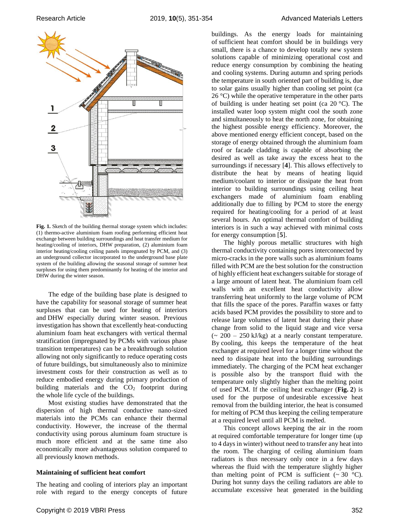

**Fig. 1.** Sketch of the building thermal storage system which includes: (1) thermo-active aluminium foam roofing performing efficient heat exchange between building surroundings and heat transfer medium for heating/cooling of interiors, DHW preparation, (2) aluminium foam interior heating/cooling ceiling panels impregnated by PCM, and (3) an underground collector incorporated to the underground base plate system of the building allowing the seasonal storage of summer heat surpluses for using them predominantly for heating of the interior and DHW during the winter season.

The edge of the building base plate is designed to have the capability for seasonal storage of summer heat surpluses that can be used for heating of interiors and DHW especially during winter season. Previous investigation has shown that excellently heat-conducting aluminium foam heat exchangers with vertical thermal stratification (impregnated by PCMs with various phase transition temperatures) can be a breakthrough solution allowing not only significantly to reduce operating costs of future buildings, but simultaneously also to minimize investment costs for their construction as well as to reduce embodied energy during primary production of building materials and the  $CO<sub>2</sub>$  footprint during the whole life cycle of the buildings.

Most existing studies have demonstrated that the dispersion of high thermal conductive nano-sized materials into the PCMs can enhance their thermal conductivity. However, the increase of the thermal conductivity using porous aluminum foam structure is much more efficient and at the same time also economically more advantageous solution compared to all previously known methods.

#### **Maintaining of sufficient heat comfort**

The heating and cooling of interiors play an important role with regard to the energy concepts of future

Copyright © 2019 VBRI Press 352

buildings. As the energy loads for maintaining of sufficient heat comfort should be in buildings very small, there is a chance to develop totally new system solutions capable of minimizing operational cost and reduce energy consumption by combining the heating and cooling systems. During autumn and spring periods the temperature in south oriented part of building is, due to solar gains usually higher than cooling set point (ca  $26 \degree C$ ) while the operative temperature in the other parts of building is under heating set point (ca  $20^{\circ}$ C). The installed water loop system might cool the south zone and simultaneously to heat the north zone, for obtaining the highest possible energy efficiency. Moreover, the above mentioned energy efficient concept, based on the storage of energy obtained through the aluminium foam roof or facade cladding is capable of absorbing the desired as well as take away the excess heat to the surroundings if necessary [**4**]. This allows effectively to distribute the heat by means of heating liquid medium/coolant to interior or dissipate the heat from interior to building surroundings using ceiling heat exchangers made of aluminium foam enabling additionally due to filling by PCM to store the energy required for heating/cooling for a period of at least several hours. An optimal thermal comfort of building interiors is in such a way achieved with minimal costs for energy consumption [**5**].

The highly porous metallic structures with high thermal conductivity containing pores interconnected by micro-cracks in the pore walls such as aluminium foams filled with PCM are the best solution for the construction of highly efficient heat exchangers suitable for storage of a large amount of latent heat. The aluminium foam cell walls with an excellent heat conductivity allow transferring heat uniformly to the large volume of PCM that fills the space of the pores. Paraffin waxes or fatty acids based PCM provides the possibility to store and to release large volumes of latent heat during their phase change from solid to the liquid stage and vice versa  $\sim 200 - 250$  kJ/kg) at a nearly constant temperature. By cooling, this keeps the temperature of the heat exchanger at required level for a longer time without the need to dissipate heat into the building surroundings immediately. The charging of the PCM heat exchanger is possible also by the transport fluid with the temperature only slightly higher than the melting point of used PCM. If the ceiling heat exchanger (**Fig. 2**) is used for the purpose of undesirable excessive heat removal from the building interior, the heat is consumed for melting of PCM thus keeping the ceiling temperature at a required level until all PCM is melted.

This concept allows keeping the air in the room at required comfortable temperature for longer time (up to 4 days in winter) without need to transfer any heat into the room. The charging of ceiling aluminium foam radiators is thus necessary only once in a few days whereas the fluid with the temperature slightly higher than melting point of PCM is sufficient  $(\sim 30 \degree C)$ . During hot sunny days the ceiling radiators are able to accumulate excessive heat generated in the building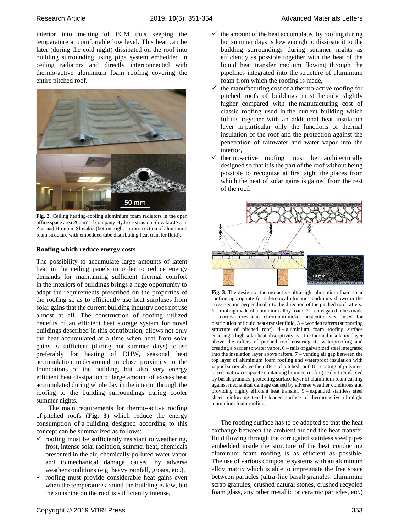interior into melting of PCM thus keeping the temperature at comfortable low level. This heat can be later (during the cold night) dissipated on the roof into building surrounding using pipe system embedded in ceiling radiators and directly interconnected with thermo-active aluminium foam roofing covering the entire pitched roof.



**Fig. 2**. Ceiling heating/cooling aluminium foam radiators in the open office space area 260 m<sup>2</sup> of company Hydro Extrusion Slovakia JSC in Žiar nad Hronom, Slovakia (bottom right – cross-section of aluminium foam structure with embedded tube distributing heat transfer fluid).

## **Roofing which reduce energy costs**

The possibility to accumulate large amounts of latent heat in the ceiling panels in order to reduce energy demands for maintaining sufficient thermal comfort in the interiors of buildings brings a huge opportunity to adapt the requirements prescribed on the properties of the roofing so as to efficiently use heat surpluses from solar gains that the current building industry does not use almost at all. The construction of roofing utilized benefits of an efficient heat storage system for novel buildings described in this contribution, allows not only the heat accumulated at a time when heat from solar gains is sufficient (during hot summer days) to use preferably for heating of DHW, seasonal heat accumulation underground in close proximity to the foundations of the building, but also very energy efficient heat dissipation of large amount of excess heat accumulated during whole day in the interior through the roofing to the building surroundings during cooler summer nights.

The main requirements for thermo-active roofing of pitched roofs (**Fig. 3**) which reduce the energy consumption of a building designed according to this concept can be summarized as follows:

- $\checkmark$  roofing must be sufficiently resistant to weathering, frost, intense solar radiation, summer heat, chemicals presented in the air, chemically polluted water vapor and to mechanical damage caused by adverse weather conditions (e.g. heavy rainfall, groats, etc.),
- $\checkmark$  roofing must provide considerable heat gains even when the temperature around the building is low, but the sunshine on the roof is sufficiently intense,
- $\checkmark$  the manufacturing cost of a thermo-active roofing for pitched roofs of buildings must be only slightly higher compared with the manufacturing cost of classic roofing used in the current building which fulfills together with an additional heat insulation layer in particular only the functions of thermal insulation of the roof and the protection against the penetration of rainwater and water vapor into the interior,
- $\checkmark$  thermo-active roofing must be architecturally designed so that it is the part of the roof without being possible to recognize at first sight the places from which the heat of solar gains is gained from the rest of the roof.



**Fig. 3**. The design of thermo-active ultra-light aluminium foam solar roofing appropriate for subtropical climatic conditions shown in the cross-section perpendicular to the direction of the pitched roof rafters: 1 – roofing made of aluminium alloy foam, 2 – corrugated tubes made of corrosion-resistant chromium-nickel austenitic steel used for distribution of liquid heat-transfer fluid, 3 – wooden rafters (supporting structure of pitched roof), 4 – aluminium foam roofing surface ensuring a high solar heat absorptivity, 5 – the thermal insulation layer above the rafters of pitched roof ensuring its waterproofing and creating a barrier to water vapor, 6 – rails of galvanized steel integrated into the insulation layer above rafters, 7 – venting air gap between the top layer of aluminium foam roofing and waterproof insulation with vapor barrier above the rafters of pitched roof, 8 – coating of polymerbased matrix composite containing bitumen roofing sealant reinforced by basalt granules, protecting surface layer of aluminium foam casting against mechanical damage caused by adverse weather conditions and providing highly efficient heat transfer, 9 – expanded stainless steel sheet reinforcing tensile loaded surface of thermo-active ultralight aluminium foam roofing.

The roofing surface has to be adapted so that the heat exchange between the ambient air and the heat transfer fluid flowing through the corrugated stainless steel pipes embedded inside the structure of the heat conducting aluminum foam roofing is as efficient as possible. The use of various composite systems with an aluminum alloy matrix which is able to impregnate the free space between particles (ultra-fine basalt granules, aluminium scrap granules, crushed natural stones, crushed recycled foam glass, any other metallic or ceramic particles, etc.)